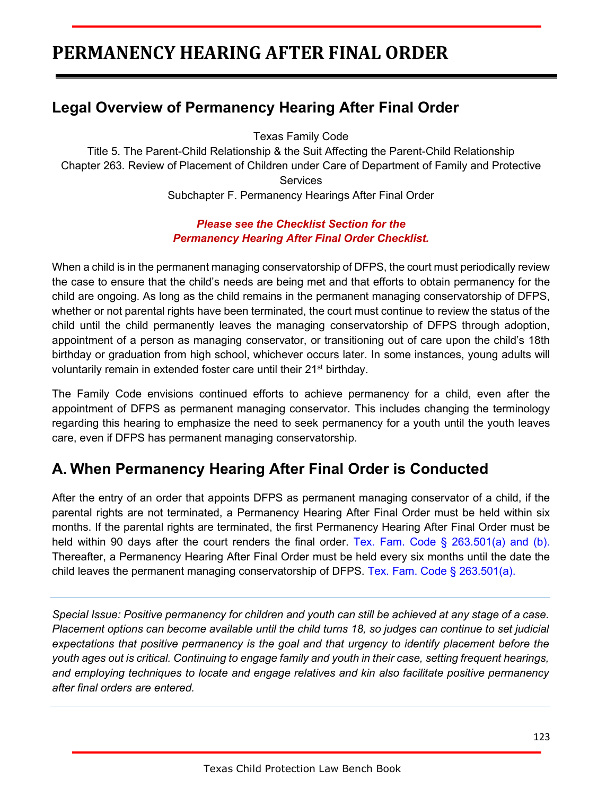# **PERMANENCY HEARING AFTER FINAL ORDER**

## **Legal Overview of Permanency Hearing After Final Order**

Texas Family Code

Title 5. The Parent-Child Relationship & the Suit Affecting the Parent-Child Relationship Chapter 263. Review of Placement of Children under Care of Department of Family and Protective **Services** Subchapter F. Permanency Hearings After Final Order

### *Please see the Checklist Section for the Permanency Hearing After Final Order Checklist.*

When a child is in the permanent managing conservatorship of DFPS, the court must periodically review the case to ensure that the child's needs are being met and that efforts to obtain permanency for the child are ongoing. As long as the child remains in the permanent managing conservatorship of DFPS, whether or not parental rights have been terminated, the court must continue to review the status of the child until the child permanently leaves the managing conservatorship of DFPS through adoption, appointment of a person as managing conservator, or transitioning out of care upon the child's 18th birthday or graduation from high school, whichever occurs later. In some instances, young adults will voluntarily remain in extended foster care until their 21<sup>st</sup> birthday.

The Family Code envisions continued efforts to achieve permanency for a child, even after the appointment of DFPS as permanent managing conservator. This includes changing the terminology regarding this hearing to emphasize the need to seek permanency for a youth until the youth leaves care, even if DFPS has permanent managing conservatorship.

## **A. When Permanency Hearing After Final Order is Conducted**

After the entry of an order that appoints DFPS as permanent managing conservator of a child, if the parental rights are not terminated, a Permanency Hearing After Final Order must be held within six months. If the parental rights are terminated, the first Permanency Hearing After Final Order must be held within 90 days after the court renders the final order. Tex. Fam. Code § 263.501(a) and (b). Thereafter, a Permanency Hearing After Final Order must be held every six months until the date the child leaves the permanent managing conservatorship of DFPS. Tex. Fam. Code  $\S$  263.501(a).

*Special Issue: Positive permanency for children and youth can still be achieved at any stage of a case. Placement options can become available until the child turns 18, so judges can continue to set judicial expectations that positive permanency is the goal and that urgency to identify placement before the youth ages out is critical. Continuing to engage family and youth in their case, setting frequent hearings, and employing techniques to locate and engage relatives and kin also facilitate positive permanency after final orders are entered.*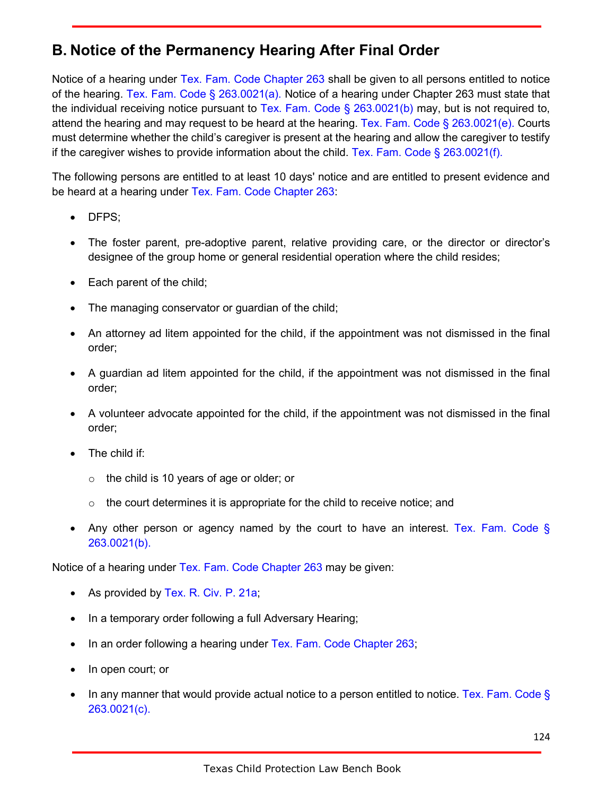## **B. Notice of the Permanency Hearing After Final Order**

Notice of a hearing under Tex. Fam. Code Chapter 263 shall be given to all persons entitled to notice of the hearing. Tex. Fam. Code § 263.0021(a). Notice of a hearing under Chapter 263 must state that the individual receiving notice pursuant to Tex. Fam. Code § 263.0021(b) may, but is not required to, attend the hearing and may request to be heard at the hearing. Tex. Fam. Code § 263.0021(e). Courts must determine whether the child's caregiver is present at the hearing and allow the caregiver to testify if the caregiver wishes to provide information about the child. Tex. Fam. Code  $\S$  263.0021(f).

The following persons are entitled to at least 10 days' notice and are entitled to present evidence and be heard at a hearing under Tex. Fam. Code Chapter 263:

- DFPS;
- The foster parent, pre-adoptive parent, relative providing care, or the director or director's designee of the group home or general residential operation where the child resides;
- Each parent of the child;
- The managing conservator or guardian of the child;
- An attorney ad litem appointed for the child, if the appointment was not dismissed in the final order;
- A guardian ad litem appointed for the child, if the appointment was not dismissed in the final order;
- A volunteer advocate appointed for the child, if the appointment was not dismissed in the final order;
- The child if:
	- o the child is 10 years of age or older; or
	- $\circ$  the court determines it is appropriate for the child to receive notice; and
- Any other person or agency named by the court to have an interest. Tex. Fam. Code § 263.0021(b).

Notice of a hearing under Tex. Fam. Code Chapter 263 may be given:

- As provided by Tex. R. Civ. P. 21a;
- In a temporary order following a full Adversary Hearing;
- In an order following a hearing under Tex. Fam. Code Chapter 263;
- In open court; or
- In any manner that would provide actual notice to a person entitled to notice. Tex. Fam. Code § 263.0021(c).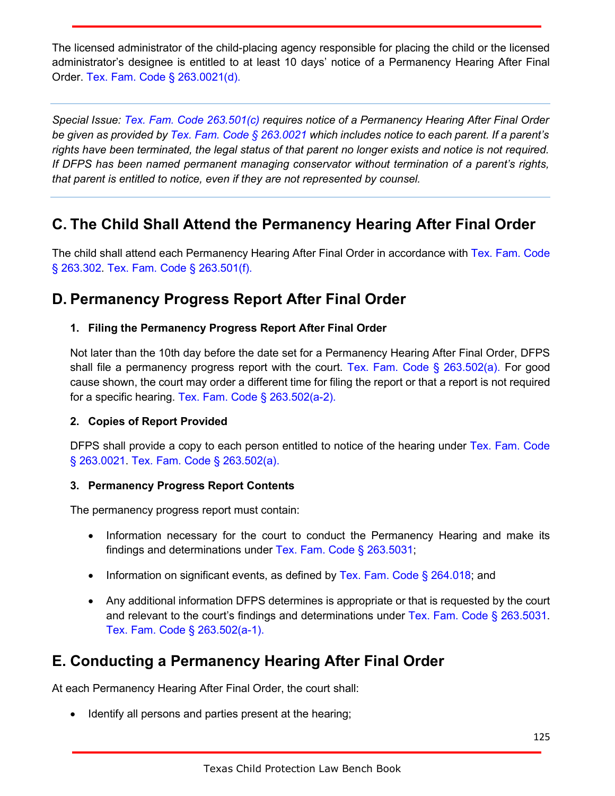The licensed administrator of the child-placing agency responsible for placing the child or the licensed administrator's designee is entitled to at least 10 days' notice of a Permanency Hearing After Final Order. Tex. Fam. Code § 263.0021(d).

*Special Issue: Tex. Fam. Code 263.501(c) requires notice of a Permanency Hearing After Final Order be given as provided by Tex. Fam. Code § 263.0021 which includes notice to each parent. If a parent's rights have been terminated, the legal status of that parent no longer exists and notice is not required. If DFPS has been named permanent managing conservator without termination of a parent's rights, that parent is entitled to notice, even if they are not represented by counsel.*

## **C. The Child Shall Attend the Permanency Hearing After Final Order**

The child shall attend each Permanency Hearing After Final Order in accordance with Tex. Fam. Code § 263.302. Tex. Fam. Code § 263.501(f).

## **D. Permanency Progress Report After Final Order**

### **1. Filing the Permanency Progress Report After Final Order**

Not later than the 10th day before the date set for a Permanency Hearing After Final Order, DFPS shall file a permanency progress report with the court. Tex. Fam. Code § 263.502(a). For good cause shown, the court may order a different time for filing the report or that a report is not required for a specific hearing. Tex. Fam. Code § 263.502(a-2).

### **2. Copies of Report Provided**

DFPS shall provide a copy to each person entitled to notice of the hearing under Tex. Fam. Code § 263.0021. Tex. Fam. Code § 263.502(a).

### **3. Permanency Progress Report Contents**

The permanency progress report must contain:

- Information necessary for the court to conduct the Permanency Hearing and make its findings and determinations under Tex. Fam. Code § 263.5031;
- Information on significant events, as defined by Tex. Fam. Code § 264.018; and
- Any additional information DFPS determines is appropriate or that is requested by the court and relevant to the court's findings and determinations under Tex. Fam. Code § 263.5031. Tex. Fam. Code § 263.502(a-1).

## **E. Conducting a Permanency Hearing After Final Order**

At each Permanency Hearing After Final Order, the court shall:

Identify all persons and parties present at the hearing;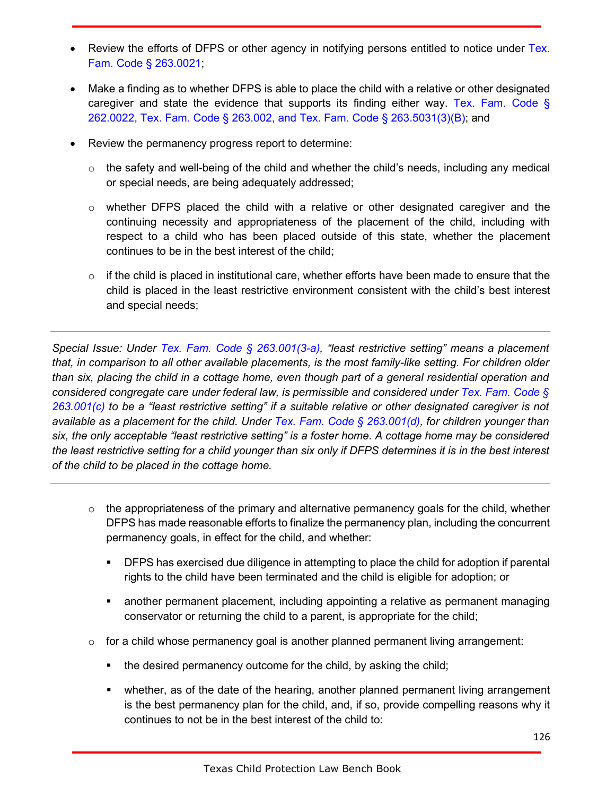- Review the efforts of DFPS or other agency in notifying persons entitled to notice under Tex. Fam. Code § 263.0021;
- Make a finding as to whether DFPS is able to place the child with a relative or other designated caregiver and state the evidence that supports its finding either way. Tex. Fam. Code § 262.0022, Tex. Fam. Code § 263.002, and Tex. Fam. Code § 263.5031(3)(B); and
- Review the permanency progress report to determine:
	- $\circ$  the safety and well-being of the child and whether the child's needs, including any medical or special needs, are being adequately addressed;
	- $\circ$  whether DFPS placed the child with a relative or other designated caregiver and the continuing necessity and appropriateness of the placement of the child, including with respect to a child who has been placed outside of this state, whether the placement continues to be in the best interest of the child;
	- $\circ$  if the child is placed in institutional care, whether efforts have been made to ensure that the child is placed in the least restrictive environment consistent with the child's best interest and special needs;

*Special Issue: Under Tex. Fam. Code § 263.001(3-a), "least restrictive setting" means a placement that, in comparison to all other available placements, is the most family-like setting. For children older than six, placing the child in a cottage home, even though part of a general residential operation and considered congregate care under federal law, is permissible and considered under Tex. Fam. Code § 263.001(c) to be a "least restrictive setting" if a suitable relative or other designated caregiver is not available as a placement for the child. Under Tex. Fam. Code § 263.001(d), for children younger than six, the only acceptable "least restrictive setting" is a foster home. A cottage home may be considered the least restrictive setting for a child younger than six only if DFPS determines it is in the best interest of the child to be placed in the cottage home.*

- $\circ$  the appropriateness of the primary and alternative permanency goals for the child, whether DFPS has made reasonable efforts to finalize the permanency plan, including the concurrent permanency goals, in effect for the child, and whether:
	- DFPS has exercised due diligence in attempting to place the child for adoption if parental rights to the child have been terminated and the child is eligible for adoption; or
	- another permanent placement, including appointing a relative as permanent managing conservator or returning the child to a parent, is appropriate for the child;
- $\circ$  for a child whose permanency goal is another planned permanent living arrangement:
	- the desired permanency outcome for the child, by asking the child;
	- whether, as of the date of the hearing, another planned permanent living arrangement is the best permanency plan for the child, and, if so, provide compelling reasons why it continues to not be in the best interest of the child to: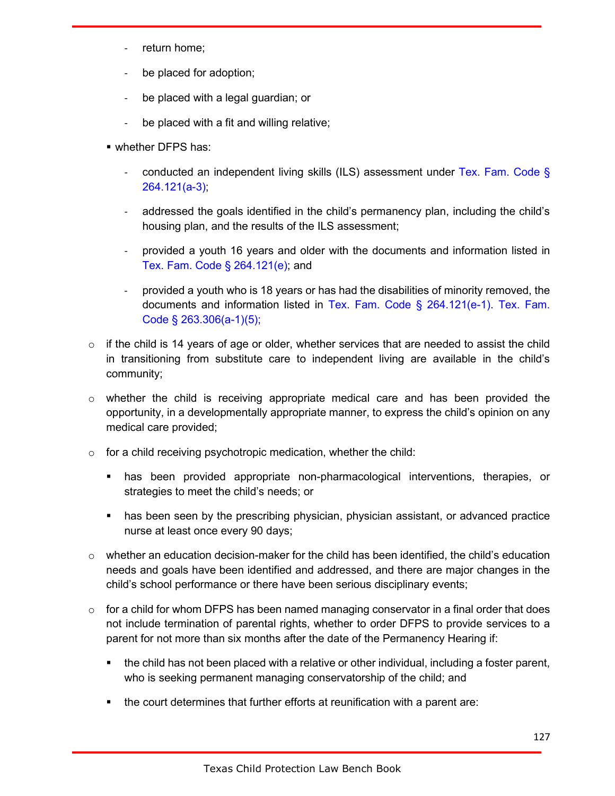- return home;
- be placed for adoption;
- be placed with a legal guardian; or
- be placed with a fit and willing relative;
- whether DFPS has:
	- conducted an independent living skills (ILS) assessment under Tex. Fam. Code § 264.121(a-3);
	- addressed the goals identified in the child's permanency plan, including the child's housing plan, and the results of the ILS assessment;
	- provided a youth 16 years and older with the documents and information listed in Tex. Fam. Code § 264.121(e); and
	- provided a youth who is 18 years or has had the disabilities of minority removed, the documents and information listed in Tex. Fam. Code § 264.121(e-1). Tex. Fam. Code § 263.306(a-1)(5);
- $\circ$  if the child is 14 years of age or older, whether services that are needed to assist the child in transitioning from substitute care to independent living are available in the child's community;
- $\circ$  whether the child is receiving appropriate medical care and has been provided the opportunity, in a developmentally appropriate manner, to express the child's opinion on any medical care provided;
- $\circ$  for a child receiving psychotropic medication, whether the child:
	- has been provided appropriate non-pharmacological interventions, therapies, or strategies to meet the child's needs; or
	- **has been seen by the prescribing physician, physician assistant, or advanced practice** nurse at least once every 90 days;
- $\circ$  whether an education decision-maker for the child has been identified, the child's education needs and goals have been identified and addressed, and there are major changes in the child's school performance or there have been serious disciplinary events;
- $\circ$  for a child for whom DFPS has been named managing conservator in a final order that does not include termination of parental rights, whether to order DFPS to provide services to a parent for not more than six months after the date of the Permanency Hearing if:
	- **the child has not been placed with a relative or other individual, including a foster parent,** who is seeking permanent managing conservatorship of the child; and
	- the court determines that further efforts at reunification with a parent are: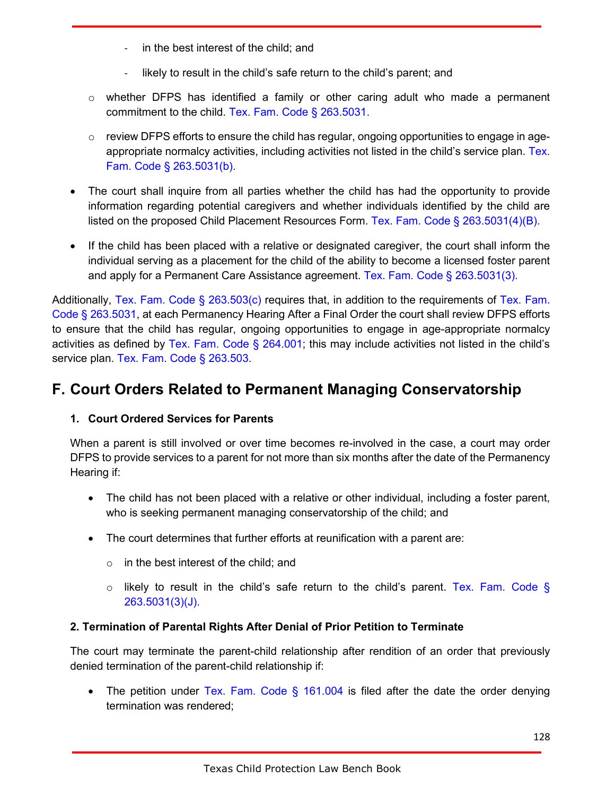- in the best interest of the child; and
- likely to result in the child's safe return to the child's parent; and
- $\circ$  whether DFPS has identified a family or other caring adult who made a permanent commitment to the child. Tex. Fam. Code § 263.5031.
- $\circ$  review DFPS efforts to ensure the child has regular, ongoing opportunities to engage in ageappropriate normalcy activities, including activities not listed in the child's service plan. Tex. Fam. Code § 263.5031(b).
- The court shall inquire from all parties whether the child has had the opportunity to provide information regarding potential caregivers and whether individuals identified by the child are listed on the proposed Child Placement Resources Form. Tex. Fam. Code § 263.5031(4)(B).
- If the child has been placed with a relative or designated caregiver, the court shall inform the individual serving as a placement for the child of the ability to become a licensed foster parent and apply for a Permanent Care Assistance agreement. Tex. Fam. Code § 263.5031(3).

Additionally, Tex. Fam. Code § 263.503(c) requires that, in addition to the requirements of Tex. Fam. Code § 263.5031, at each Permanency Hearing After a Final Order the court shall review DFPS efforts to ensure that the child has regular, ongoing opportunities to engage in age-appropriate normalcy activities as defined by Tex. Fam. Code  $\S$  264.001; this may include activities not listed in the child's service plan. Tex. Fam. Code § 263.503.

### **F. Court Orders Related to Permanent Managing Conservatorship**

### **1. Court Ordered Services for Parents**

When a parent is still involved or over time becomes re-involved in the case, a court may order DFPS to provide services to a parent for not more than six months after the date of the Permanency Hearing if:

- The child has not been placed with a relative or other individual, including a foster parent, who is seeking permanent managing conservatorship of the child; and
- The court determines that further efforts at reunification with a parent are:
	- $\circ$  in the best interest of the child; and
	- $\circ$  likely to result in the child's safe return to the child's parent. Tex. Fam. Code § 263.5031(3)(J).

### **2. Termination of Parental Rights After Denial of Prior Petition to Terminate**

The court may terminate the parent-child relationship after rendition of an order that previously denied termination of the parent-child relationship if:

• The petition under Tex. Fam. Code  $\S$  161.004 is filed after the date the order denying termination was rendered;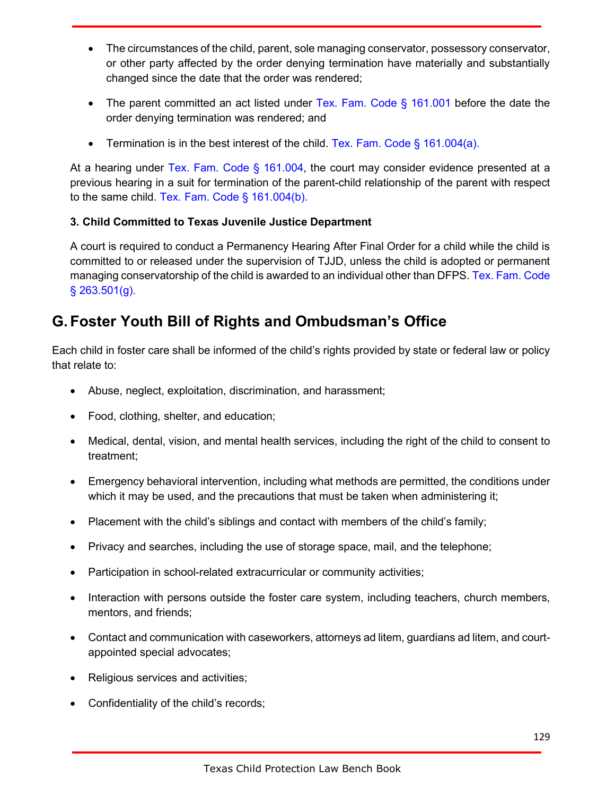- The circumstances of the child, parent, sole managing conservator, possessory conservator, or other party affected by the order denying termination have materially and substantially changed since the date that the order was rendered;
- The parent committed an act listed under Tex. Fam. Code  $\S$  161.001 before the date the order denying termination was rendered; and
- Termination is in the best interest of the child. Tex. Fam. Code  $\S$  161.004(a).

At a hearing under Tex. Fam. Code § 161.004, the court may consider evidence presented at a previous hearing in a suit for termination of the parent-child relationship of the parent with respect to the same child. Tex. Fam. Code § 161.004(b).

### **3. Child Committed to Texas Juvenile Justice Department**

A court is required to conduct a Permanency Hearing After Final Order for a child while the child is committed to or released under the supervision of TJJD, unless the child is adopted or permanent managing conservatorship of the child is awarded to an individual other than DFPS. Tex. Fam. Code § 263.501(g).

## **G.Foster Youth Bill of Rights and Ombudsman's Office**

Each child in foster care shall be informed of the child's rights provided by state or federal law or policy that relate to:

- Abuse, neglect, exploitation, discrimination, and harassment;
- Food, clothing, shelter, and education;
- Medical, dental, vision, and mental health services, including the right of the child to consent to treatment;
- Emergency behavioral intervention, including what methods are permitted, the conditions under which it may be used, and the precautions that must be taken when administering it;
- Placement with the child's siblings and contact with members of the child's family;
- Privacy and searches, including the use of storage space, mail, and the telephone;
- Participation in school-related extracurricular or community activities;
- Interaction with persons outside the foster care system, including teachers, church members, mentors, and friends;
- Contact and communication with caseworkers, attorneys ad litem, guardians ad litem, and courtappointed special advocates;
- Religious services and activities;
- Confidentiality of the child's records;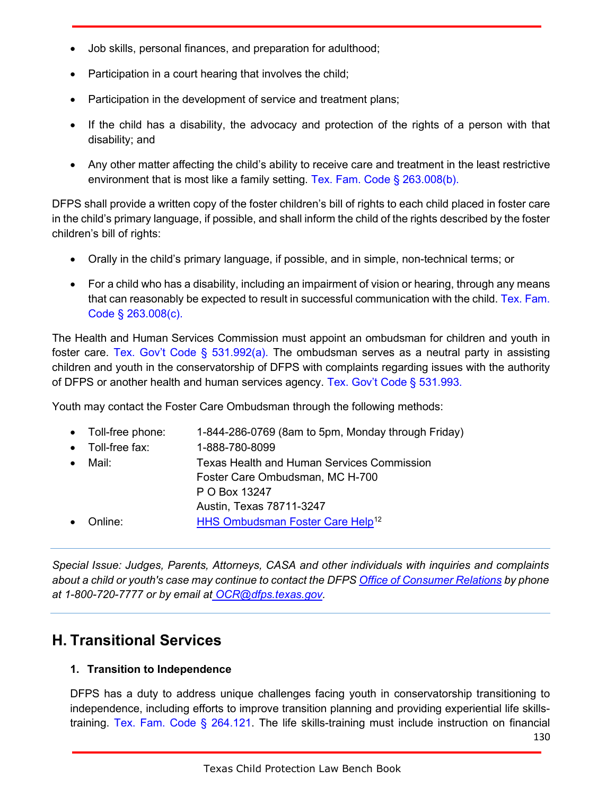- Job skills, personal finances, and preparation for adulthood;
- Participation in a court hearing that involves the child;
- Participation in the development of service and treatment plans;
- If the child has a disability, the advocacy and protection of the rights of a person with that disability; and
- Any other matter affecting the child's ability to receive care and treatment in the least restrictive environment that is most like a family setting. Tex. Fam. Code § 263.008(b).

DFPS shall provide a written copy of the foster children's bill of rights to each child placed in foster care in the child's primary language, if possible, and shall inform the child of the rights described by the foster children's bill of rights:

- Orally in the child's primary language, if possible, and in simple, non-technical terms; or
- For a child who has a disability, including an impairment of vision or hearing, through any means that can reasonably be expected to result in successful communication with the child. Tex. Fam. Code § 263.008(c).

The Health and Human Services Commission must appoint an ombudsman for children and youth in foster care. Tex. Gov't Code § 531.992(a). The ombudsman serves as a neutral party in assisting children and youth in the conservatorship of DFPS with complaints regarding issues with the authority of DFPS or another health and human services agency. Tex. Gov't Code § 531.993.

Youth may contact the Foster Care Ombudsman through the following methods:

|           | • Toll-free phone: | 1-844-286-0769 (8am to 5pm, Monday through Friday) |
|-----------|--------------------|----------------------------------------------------|
| $\bullet$ | Toll-free fax:     | 1-888-780-8099                                     |
| $\bullet$ | Mail:              | Texas Health and Human Services Commission         |
|           |                    | Foster Care Ombudsman, MC H-700                    |
|           |                    | P O Box 13247                                      |
|           |                    | Austin, Texas 78711-3247                           |
|           | Online:            | HHS Ombudsman Foster Care Help <sup>12</sup>       |
|           |                    |                                                    |

*Special Issue: Judges, Parents, Attorneys, CASA and other individuals with inquiries and complaints about a child or youth's case may continue to contact the DFP[S Office of Consumer Relations](https://www.dfps.state.tx.us/Contact_Us/Questions_and_Complaints/OCR.asp) by phone at 1-800-720-7777 or by email at [OCR@dfps.texas.gov.](mailto:%20OCR@dfps.texas.gov)*

### **H. Transitional Services**

### **1. Transition to Independence**

DFPS has a duty to address unique challenges facing youth in conservatorship transitioning to independence, including efforts to improve transition planning and providing experiential life skillstraining. Tex. Fam. Code § 264.121. The life skills-training must include instruction on financial

130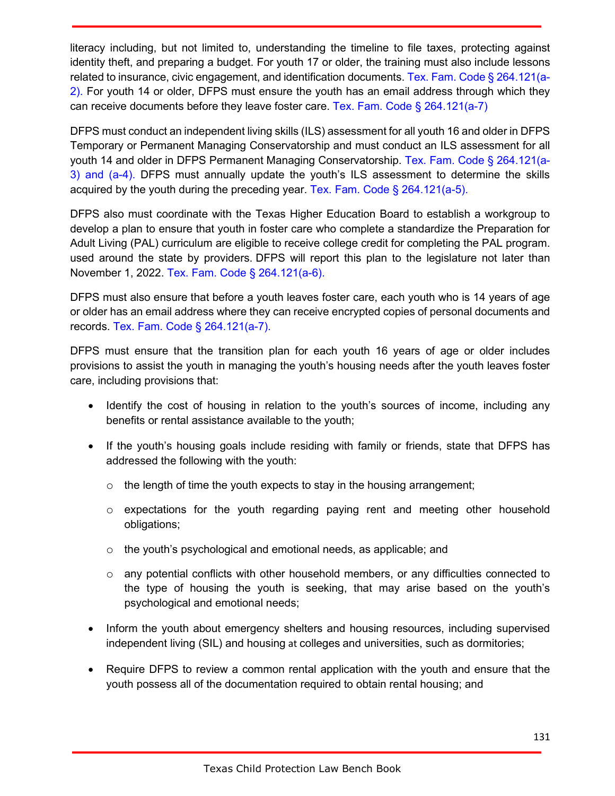literacy including, but not limited to, understanding the timeline to file taxes, protecting against identity theft, and preparing a budget. For youth 17 or older, the training must also include lessons related to insurance, civic engagement, and identification documents. Tex. Fam. Code § 264.121(a-2). For youth 14 or older, DFPS must ensure the youth has an email address through which they can receive documents before they leave foster care. Tex. Fam. Code § 264.121(a-7)

DFPS must conduct an independent living skills (ILS) assessment for all youth 16 and older in DFPS Temporary or Permanent Managing Conservatorship and must conduct an ILS assessment for all youth 14 and older in DFPS Permanent Managing Conservatorship. Tex. Fam. Code § 264.121(a-3) and (a-4). DFPS must annually update the youth's ILS assessment to determine the skills acquired by the youth during the preceding year. Tex. Fam. Code  $\S$  264.121(a-5).

DFPS also must coordinate with the Texas Higher Education Board to establish a workgroup to develop a plan to ensure that youth in foster care who complete a standardize the Preparation for Adult Living (PAL) curriculum are eligible to receive college credit for completing the PAL program. used around the state by providers. DFPS will report this plan to the legislature not later than November 1, 2022. Tex. Fam. Code § 264.121(a-6).

DFPS must also ensure that before a youth leaves foster care, each youth who is 14 years of age or older has an email address where they can receive encrypted copies of personal documents and records. Tex. Fam. Code § 264.121(a-7).

DFPS must ensure that the transition plan for each youth 16 years of age or older includes provisions to assist the youth in managing the youth's housing needs after the youth leaves foster care, including provisions that:

- Identify the cost of housing in relation to the youth's sources of income, including any benefits or rental assistance available to the youth;
- If the youth's housing goals include residing with family or friends, state that DFPS has addressed the following with the youth:
	- $\circ$  the length of time the youth expects to stay in the housing arrangement;
	- $\circ$  expectations for the youth regarding paying rent and meeting other household obligations;
	- o the youth's psychological and emotional needs, as applicable; and
	- $\circ$  any potential conflicts with other household members, or any difficulties connected to the type of housing the youth is seeking, that may arise based on the youth's psychological and emotional needs;
- Inform the youth about emergency shelters and housing resources, including supervised independent living (SIL) and housing at colleges and universities, such as dormitories;
- Require DFPS to review a common rental application with the youth and ensure that the youth possess all of the documentation required to obtain rental housing; and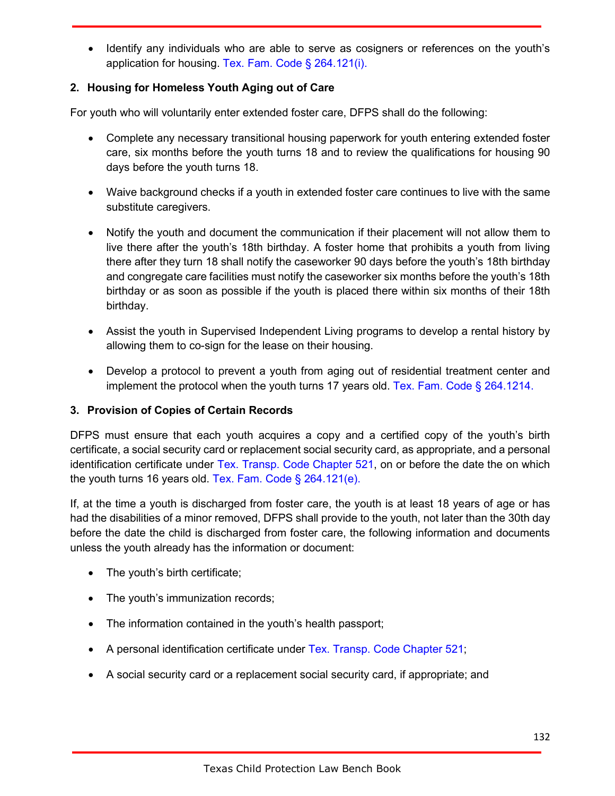• Identify any individuals who are able to serve as cosigners or references on the youth's application for housing. Tex. Fam. Code § 264.121(i).

### **2. Housing for Homeless Youth Aging out of Care**

For youth who will voluntarily enter extended foster care, DFPS shall do the following:

- Complete any necessary transitional housing paperwork for youth entering extended foster care, six months before the youth turns 18 and to review the qualifications for housing 90 days before the youth turns 18.
- Waive background checks if a youth in extended foster care continues to live with the same substitute caregivers.
- Notify the youth and document the communication if their placement will not allow them to live there after the youth's 18th birthday. A foster home that prohibits a youth from living there after they turn 18 shall notify the caseworker 90 days before the youth's 18th birthday and congregate care facilities must notify the caseworker six months before the youth's 18th birthday or as soon as possible if the youth is placed there within six months of their 18th birthday.
- Assist the youth in Supervised Independent Living programs to develop a rental history by allowing them to co-sign for the lease on their housing.
- Develop a protocol to prevent a youth from aging out of residential treatment center and implement the protocol when the youth turns 17 years old. Tex. Fam. Code  $\S$  264.1214.

### **3. Provision of Copies of Certain Records**

DFPS must ensure that each youth acquires a copy and a certified copy of the youth's birth certificate, a social security card or replacement social security card, as appropriate, and a personal identification certificate under Tex. Transp. Code Chapter 521, on or before the date the on which the youth turns 16 years old. Tex. Fam. Code § 264.121(e).

If, at the time a youth is discharged from foster care, the youth is at least 18 years of age or has had the disabilities of a minor removed, DFPS shall provide to the youth, not later than the 30th day before the date the child is discharged from foster care, the following information and documents unless the youth already has the information or document:

- The youth's birth certificate;
- The youth's immunization records;
- The information contained in the youth's health passport;
- A personal identification certificate under Tex. Transp. Code Chapter 521;
- A social security card or a replacement social security card, if appropriate; and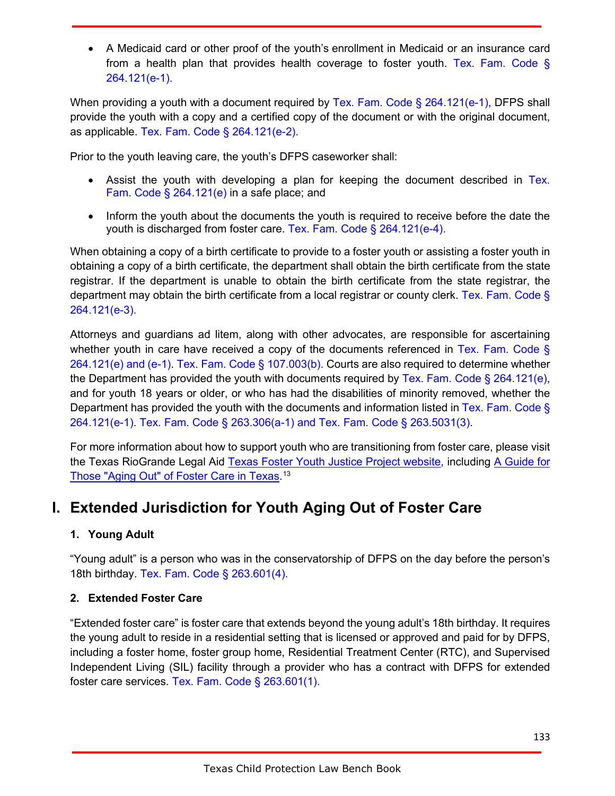• A Medicaid card or other proof of the youth's enrollment in Medicaid or an insurance card from a health plan that provides health coverage to foster youth. Tex. Fam. Code § 264.121(e-1).

When providing a youth with a document required by Tex. Fam. Code § 264.121(e-1), DFPS shall provide the youth with a copy and a certified copy of the document or with the original document, as applicable. Tex. Fam. Code § 264.121(e-2).

Prior to the youth leaving care, the youth's DFPS caseworker shall:

- Assist the youth with developing a plan for keeping the document described in Tex. Fam. Code § 264.121(e) in a safe place; and
- Inform the youth about the documents the youth is required to receive before the date the youth is discharged from foster care. Tex. Fam. Code § 264.121(e-4).

When obtaining a copy of a birth certificate to provide to a foster youth or assisting a foster youth in obtaining a copy of a birth certificate, the department shall obtain the birth certificate from the state registrar. If the department is unable to obtain the birth certificate from the state registrar, the department may obtain the birth certificate from a local registrar or county clerk. Tex. Fam. Code § 264.121(e-3).

Attorneys and guardians ad litem, along with other advocates, are responsible for ascertaining whether youth in care have received a copy of the documents referenced in Tex. Fam. Code § 264.121(e) and (e-1). Tex. Fam. Code § 107.003(b). Courts are also required to determine whether the Department has provided the youth with documents required by Tex. Fam. Code  $\S 264.121(e)$ , and for youth 18 years or older, or who has had the disabilities of minority removed, whether the Department has provided the youth with the documents and information listed in Tex. Fam. Code § 264.121(e-1). Tex. Fam. Code § 263.306(a-1) and Tex. Fam. Code § 263.5031(3).

For more information about how to support youth who are transitioning from foster care, please visit the Texas RioGrande Legal Aid [Texas Foster Youth Justice Project website,](http://texasfosteryouth.org/) including A [Guide for](http://texasfosteryouth.org/legal-resources/legal-resources-for-youth/aging-out-of-foster-care/)  [Those "Aging Out" of Foster Care in Texas.](http://texasfosteryouth.org/legal-resources/legal-resources-for-youth/aging-out-of-foster-care/) 13

## **I. Extended Jurisdiction for Youth Aging Out of Foster Care**

### **1. Young Adult**

"Young adult" is a person who was in the conservatorship of DFPS on the day before the person's 18th birthday. Tex. Fam. Code § 263.601(4).

### **2. Extended Foster Care**

"Extended foster care" is foster care that extends beyond the young adult's 18th birthday. It requires the young adult to reside in a residential setting that is licensed or approved and paid for by DFPS, including a foster home, foster group home, Residential Treatment Center (RTC), and Supervised Independent Living (SIL) facility through a provider who has a contract with DFPS for extended foster care services. Tex. Fam. Code § 263.601(1).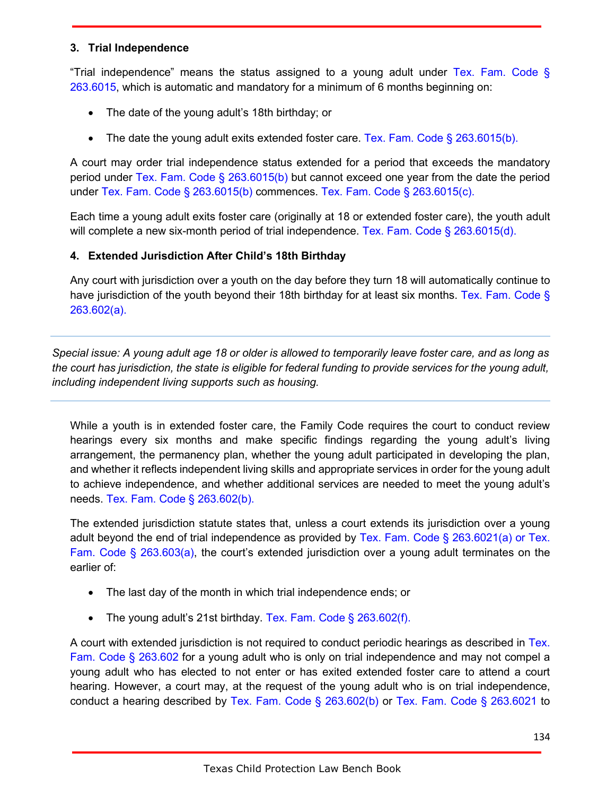#### **3. Trial Independence**

"Trial independence" means the status assigned to a young adult under Tex. Fam. Code § 263.6015, which is automatic and mandatory for a minimum of 6 months beginning on:

- The date of the young adult's 18th birthday; or
- The date the young adult exits extended foster care. Tex. Fam. Code  $\S$  263.6015(b).

A court may order trial independence status extended for a period that exceeds the mandatory period under Tex. Fam. Code § 263.6015(b) but cannot exceed one year from the date the period under Tex. Fam. Code § 263.6015(b) commences. Tex. Fam. Code § 263.6015(c).

Each time a young adult exits foster care (originally at 18 or extended foster care), the youth adult will complete a new six-month period of trial independence. Tex. Fam. Code § 263.6015(d).

### **4. Extended Jurisdiction After Child's 18th Birthday**

Any court with jurisdiction over a youth on the day before they turn 18 will automatically continue to have jurisdiction of the youth beyond their 18th birthday for at least six months. Tex. Fam. Code § 263.602(a).

*Special issue: A young adult age 18 or older is allowed to temporarily leave foster care, and as long as the court has jurisdiction, the state is eligible for federal funding to provide services for the young adult, including independent living supports such as housing.*

While a youth is in extended foster care, the Family Code requires the court to conduct review hearings every six months and make specific findings regarding the young adult's living arrangement, the permanency plan, whether the young adult participated in developing the plan, and whether it reflects independent living skills and appropriate services in order for the young adult to achieve independence, and whether additional services are needed to meet the young adult's needs. Tex. Fam. Code § 263.602(b).

The extended jurisdiction statute states that, unless a court extends its jurisdiction over a young adult beyond the end of trial independence as provided by Tex. Fam. Code § 263.6021(a) or Tex. Fam. Code § 263.603(a), the court's extended jurisdiction over a young adult terminates on the earlier of:

- The last day of the month in which trial independence ends; or
- The young adult's 21st birthday. Tex. Fam. Code § 263.602(f).

A court with extended jurisdiction is not required to conduct periodic hearings as described in Tex. Fam. Code § 263.602 for a young adult who is only on trial independence and may not compel a young adult who has elected to not enter or has exited extended foster care to attend a court hearing. However, a court may, at the request of the young adult who is on trial independence, conduct a hearing described by Tex. Fam. Code § 263.602(b) or Tex. Fam. Code § 263.6021 to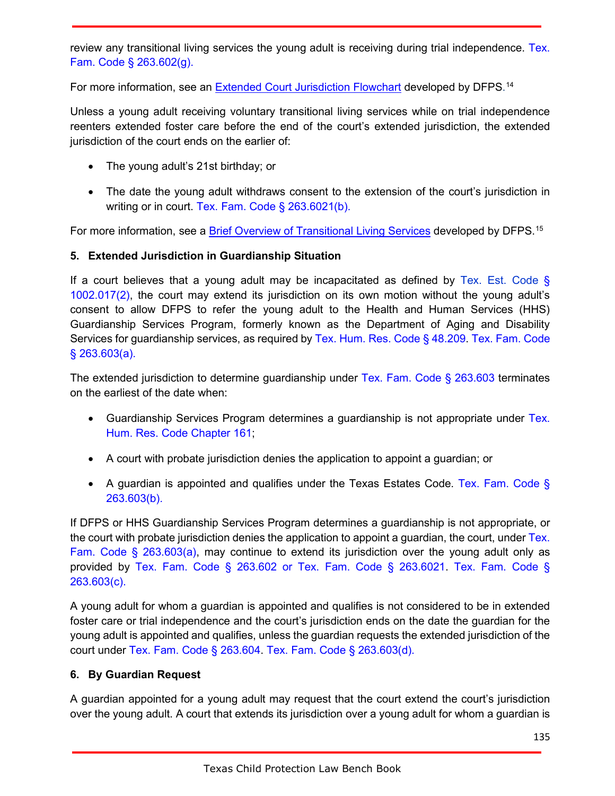review any transitional living services the young adult is receiving during trial independence. Tex. Fam. Code § 263.602(g).

For more information, see an <u>Extended Court Jurisdiction Flowchart</u> developed by DFPS.<sup>14</sup>

Unless a young adult receiving voluntary transitional living services while on trial independence reenters extended foster care before the end of the court's extended jurisdiction, the extended jurisdiction of the court ends on the earlier of:

- The young adult's 21st birthday; or
- The date the young adult withdraws consent to the extension of the court's jurisdiction in writing or in court. Tex. Fam. Code § 263.6021(b).

For more information, see a <u>Brief Overview of Transitional Living Services</u> developed by DFPS.<sup>15</sup>

### **5. Extended Jurisdiction in Guardianship Situation**

If a court believes that a young adult may be incapacitated as defined by Tex. Est. Code  $\S$ 1002.017(2), the court may extend its jurisdiction on its own motion without the young adult's consent to allow DFPS to refer the young adult to the Health and Human Services (HHS) Guardianship Services Program, formerly known as the Department of Aging and Disability Services for guardianship services, as required by Tex. Hum. Res. Code § 48.209. Tex. Fam. Code § 263.603(a).

The extended jurisdiction to determine guardianship under Tex. Fam. Code § 263.603 terminates on the earliest of the date when:

- Guardianship Services Program determines a guardianship is not appropriate under Tex. Hum. Res. Code Chapter 161;
- A court with probate jurisdiction denies the application to appoint a guardian; or
- A guardian is appointed and qualifies under the Texas Estates Code. Tex. Fam. Code § 263.603(b).

If DFPS or HHS Guardianship Services Program determines a guardianship is not appropriate, or the court with probate jurisdiction denies the application to appoint a guardian, the court, under Tex. Fam. Code § 263.603(a), may continue to extend its jurisdiction over the young adult only as provided by Tex. Fam. Code § 263.602 or Tex. Fam. Code § 263.6021. Tex. Fam. Code § 263.603(c).

A young adult for whom a guardian is appointed and qualifies is not considered to be in extended foster care or trial independence and the court's jurisdiction ends on the date the guardian for the young adult is appointed and qualifies, unless the guardian requests the extended jurisdiction of the court under Tex. Fam. Code § 263.604. Tex. Fam. Code § 263.603(d).

### **6. By Guardian Request**

A guardian appointed for a young adult may request that the court extend the court's jurisdiction over the young adult. A court that extends its jurisdiction over a young adult for whom a guardian is